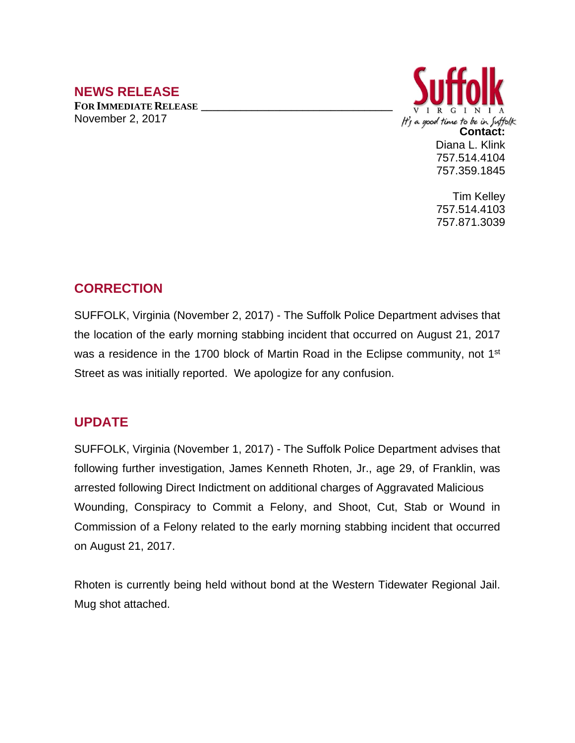## **NEWS RELEASE**

**FOR IMMEDIATE RELEASE \_\_\_\_\_\_\_\_\_\_\_\_\_\_\_\_\_\_\_\_\_\_\_\_\_\_\_\_\_\_\_\_\_\_** November 2, 2017



Tim Kelley 757.514.4103 757.871.3039

## **CORRECTION**

SUFFOLK, Virginia (November 2, 2017) - The Suffolk Police Department advises that the location of the early morning stabbing incident that occurred on August 21, 2017 was a residence in the 1700 block of Martin Road in the Eclipse community, not 1<sup>st</sup> Street as was initially reported. We apologize for any confusion.

## **UPDATE**

SUFFOLK, Virginia (November 1, 2017) - The Suffolk Police Department advises that following further investigation, James Kenneth Rhoten, Jr., age 29, of Franklin, was arrested following Direct Indictment on additional charges of Aggravated Malicious Wounding, Conspiracy to Commit a Felony, and Shoot, Cut, Stab or Wound in Commission of a Felony related to the early morning stabbing incident that occurred on August 21, 2017.

Rhoten is currently being held without bond at the Western Tidewater Regional Jail. Mug shot attached.